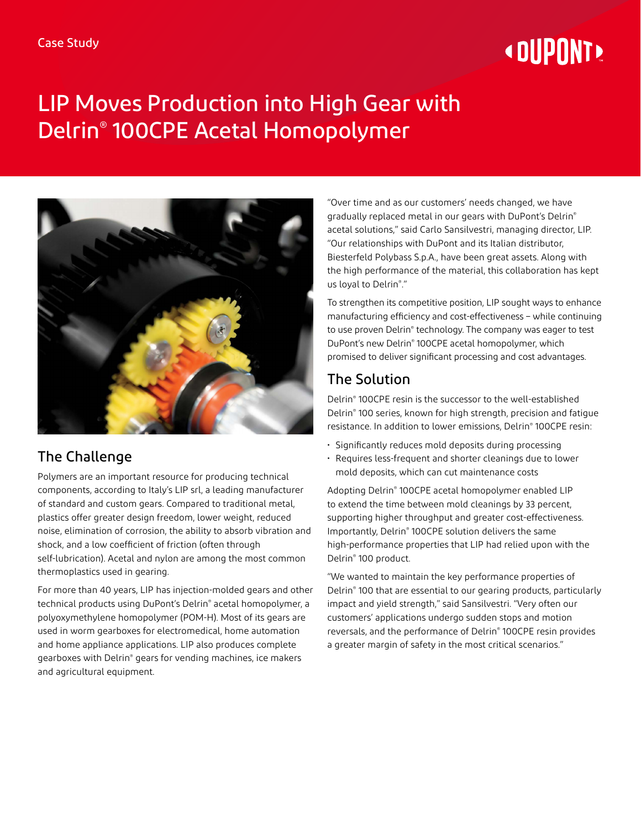# **«OUPONT**

# LIP Moves Production into High Gear with Delrin® 100CPE Acetal Homopolymer



## The Challenge

Polymers are an important resource for producing technical components, according to Italy's LIP srl, a leading manufacturer of standard and custom gears. Compared to traditional metal, plastics offer greater design freedom, lower weight, reduced noise, elimination of corrosion, the ability to absorb vibration and shock, and a low coefficient of friction (often through self-lubrication). Acetal and nylon are among the most common thermoplastics used in gearing.

For more than 40 years, LIP has injection-molded gears and other technical products using DuPont's Delrin® acetal homopolymer, a polyoxymethylene homopolymer (POM-H). Most of its gears are used in worm gearboxes for electromedical, home automation and home appliance applications. LIP also produces complete gearboxes with Delrin® gears for vending machines, ice makers and agricultural equipment.

"Over time and as our customers' needs changed, we have gradually replaced metal in our gears with DuPont's Delrin® acetal solutions," said Carlo Sansilvestri, managing director, LIP. "Our relationships with DuPont and its Italian distributor, Biesterfeld Polybass S.p.A., have been great assets. Along with the high performance of the material, this collaboration has kept us loyal to Delrin® ."

To strengthen its competitive position, LIP sought ways to enhance manufacturing efficiency and cost-effectiveness – while continuing to use proven Delrin® technology. The company was eager to test DuPont's new Delrin® 100CPE acetal homopolymer, which promised to deliver significant processing and cost advantages.

## The Solution

Delrin® 100CPE resin is the successor to the well-established Delrin® 100 series, known for high strength, precision and fatigue resistance. In addition to lower emissions, Delrin® 100CPE resin:

- Significantly reduces mold deposits during processing
- Requires less-frequent and shorter cleanings due to lower mold deposits, which can cut maintenance costs

Adopting Delrin® 100CPE acetal homopolymer enabled LIP to extend the time between mold cleanings by 33 percent, supporting higher throughput and greater cost-effectiveness. Importantly, Delrin® 100CPE solution delivers the same high-performance properties that LIP had relied upon with the Delrin® 100 product.

"We wanted to maintain the key performance properties of Delrin® 100 that are essential to our gearing products, particularly impact and yield strength," said Sansilvestri. "Very often our customers' applications undergo sudden stops and motion reversals, and the performance of Delrin® 100CPE resin provides a greater margin of safety in the most critical scenarios."